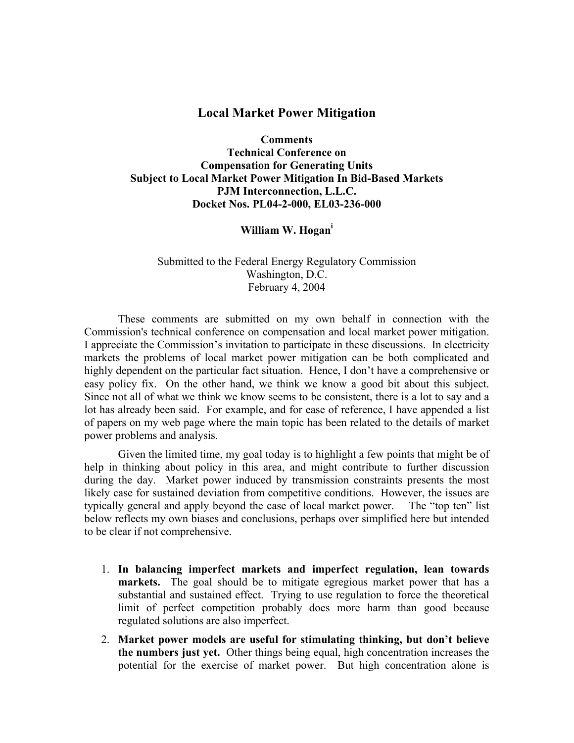## **Local Market Power Mitigation**

**Comments Technical Conference on Compensation for Generating Units Subject to Local Market Power Mitigation In Bid-Based Markets PJM Interconnection, L.L.C. Docket Nos. PL04-2-000, EL03-236-000** 

**William W. Hogani**

Submitted to the Federal Energy Regulatory Commission Washington, D.C. February 4, 2004

 These comments are submitted on my own behalf in connection with the Commission's technical conference on compensation and local market power mitigation. I appreciate the Commission's invitation to participate in these discussions. In electricity markets the problems of local market power mitigation can be both complicated and highly dependent on the particular fact situation. Hence, I don't have a comprehensive or easy policy fix. On the other hand, we think we know a good bit about this subject. Since not all of what we think we know seems to be consistent, there is a lot to say and a lot has already been said. For example, and for ease of reference, I have appended a list of papers on my web page where the main topic has been related to the details of market power problems and analysis.

 Given the limited time, my goal today is to highlight a few points that might be of help in thinking about policy in this area, and might contribute to further discussion during the day. Market power induced by transmission constraints presents the most likely case for sustained deviation from competitive conditions. However, the issues are typically general and apply beyond the case of local market power. The "top ten" list below reflects my own biases and conclusions, perhaps over simplified here but intended to be clear if not comprehensive.

- 1. **In balancing imperfect markets and imperfect regulation, lean towards markets.** The goal should be to mitigate egregious market power that has a substantial and sustained effect. Trying to use regulation to force the theoretical limit of perfect competition probably does more harm than good because regulated solutions are also imperfect.
- 2. **Market power models are useful for stimulating thinking, but don't believe the numbers just yet.** Other things being equal, high concentration increases the potential for the exercise of market power. But high concentration alone is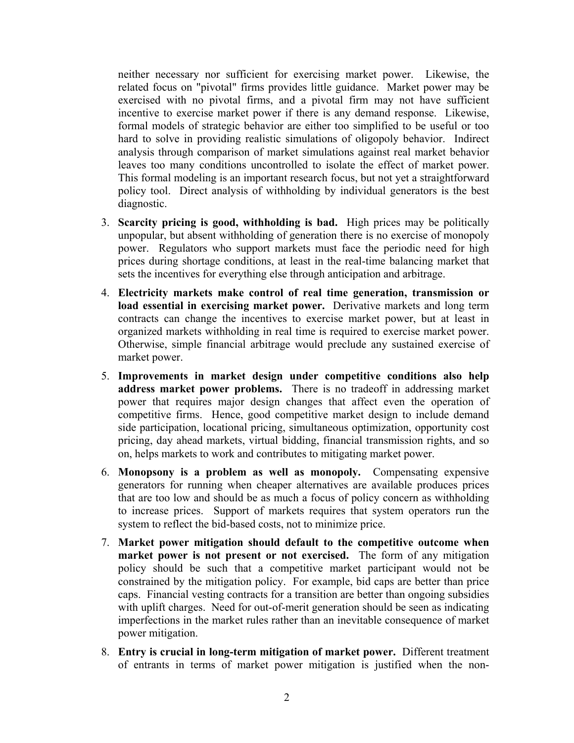neither necessary nor sufficient for exercising market power. Likewise, the related focus on "pivotal" firms provides little guidance. Market power may be exercised with no pivotal firms, and a pivotal firm may not have sufficient incentive to exercise market power if there is any demand response. Likewise, formal models of strategic behavior are either too simplified to be useful or too hard to solve in providing realistic simulations of oligopoly behavior. Indirect analysis through comparison of market simulations against real market behavior leaves too many conditions uncontrolled to isolate the effect of market power. This formal modeling is an important research focus, but not yet a straightforward policy tool. Direct analysis of withholding by individual generators is the best diagnostic.

- 3. **Scarcity pricing is good, withholding is bad.** High prices may be politically unpopular, but absent withholding of generation there is no exercise of monopoly power. Regulators who support markets must face the periodic need for high prices during shortage conditions, at least in the real-time balancing market that sets the incentives for everything else through anticipation and arbitrage.
- 4. **Electricity markets make control of real time generation, transmission or load essential in exercising market power.** Derivative markets and long term contracts can change the incentives to exercise market power, but at least in organized markets withholding in real time is required to exercise market power. Otherwise, simple financial arbitrage would preclude any sustained exercise of market power.
- 5. **Improvements in market design under competitive conditions also help address market power problems.** There is no tradeoff in addressing market power that requires major design changes that affect even the operation of competitive firms. Hence, good competitive market design to include demand side participation, locational pricing, simultaneous optimization, opportunity cost pricing, day ahead markets, virtual bidding, financial transmission rights, and so on, helps markets to work and contributes to mitigating market power.
- 6. **Monopsony is a problem as well as monopoly.** Compensating expensive generators for running when cheaper alternatives are available produces prices that are too low and should be as much a focus of policy concern as withholding to increase prices. Support of markets requires that system operators run the system to reflect the bid-based costs, not to minimize price.
- 7. **Market power mitigation should default to the competitive outcome when market power is not present or not exercised.** The form of any mitigation policy should be such that a competitive market participant would not be constrained by the mitigation policy. For example, bid caps are better than price caps. Financial vesting contracts for a transition are better than ongoing subsidies with uplift charges. Need for out-of-merit generation should be seen as indicating imperfections in the market rules rather than an inevitable consequence of market power mitigation.
- 8. **Entry is crucial in long-term mitigation of market power.** Different treatment of entrants in terms of market power mitigation is justified when the non-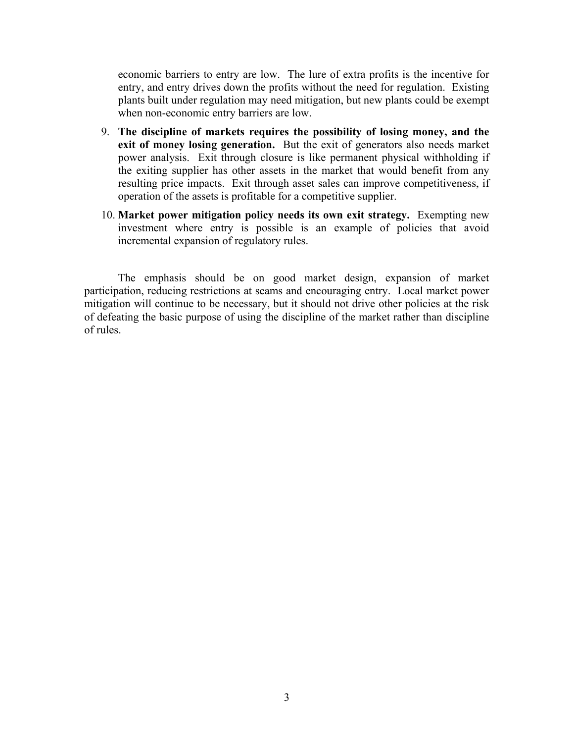economic barriers to entry are low. The lure of extra profits is the incentive for entry, and entry drives down the profits without the need for regulation. Existing plants built under regulation may need mitigation, but new plants could be exempt when non-economic entry barriers are low.

- 9. **The discipline of markets requires the possibility of losing money, and the exit of money losing generation.** But the exit of generators also needs market power analysis. Exit through closure is like permanent physical withholding if the exiting supplier has other assets in the market that would benefit from any resulting price impacts. Exit through asset sales can improve competitiveness, if operation of the assets is profitable for a competitive supplier.
- 10. **Market power mitigation policy needs its own exit strategy.** Exempting new investment where entry is possible is an example of policies that avoid incremental expansion of regulatory rules.

The emphasis should be on good market design, expansion of market participation, reducing restrictions at seams and encouraging entry. Local market power mitigation will continue to be necessary, but it should not drive other policies at the risk of defeating the basic purpose of using the discipline of the market rather than discipline of rules.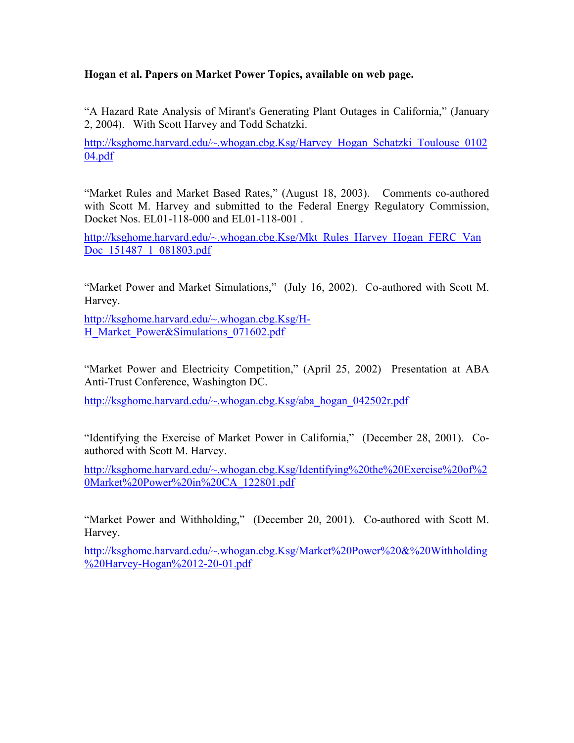## **Hogan et al. Papers on Market Power Topics, available on web page.**

"A Hazard Rate Analysis of Mirant's Generating Plant Outages in California," (January 2, 2004). With Scott Harvey and Todd Schatzki.

http://ksghome.harvard.edu/~.whogan.cbg.Ksg/Harvey\_Hogan\_Schatzki\_Toulouse\_0102 04.pdf

"Market Rules and Market Based Rates," (August 18, 2003). Comments co-authored with Scott M. Harvey and submitted to the Federal Energy Regulatory Commission, Docket Nos. EL01-118-000 and EL01-118-001 .

http://ksghome.harvard.edu/~.whogan.cbg.Ksg/Mkt\_Rules\_Harvey\_Hogan\_FERC\_Van Doc 151487 1 081803.pdf

"Market Power and Market Simulations," (July 16, 2002). Co-authored with Scott M. Harvey.

http://ksghome.harvard.edu/~.whogan.cbg.Ksg/H-H\_Market\_Power&Simulations\_071602.pdf

"Market Power and Electricity Competition," (April 25, 2002) Presentation at ABA Anti-Trust Conference, Washington DC.

http://ksghome.harvard.edu/~.whogan.cbg.Ksg/aba\_hogan\_042502r.pdf

"Identifying the Exercise of Market Power in California," (December 28, 2001). Coauthored with Scott M. Harvey.

http://ksghome.harvard.edu/~.whogan.cbg.Ksg/Identifying%20the%20Exercise%20of%2 0Market%20Power%20in%20CA\_122801.pdf

"Market Power and Withholding," (December 20, 2001). Co-authored with Scott M. Harvey.

http://ksghome.harvard.edu/~.whogan.cbg.Ksg/Market%20Power%20&%20Withholding %20Harvey-Hogan%2012-20-01.pdf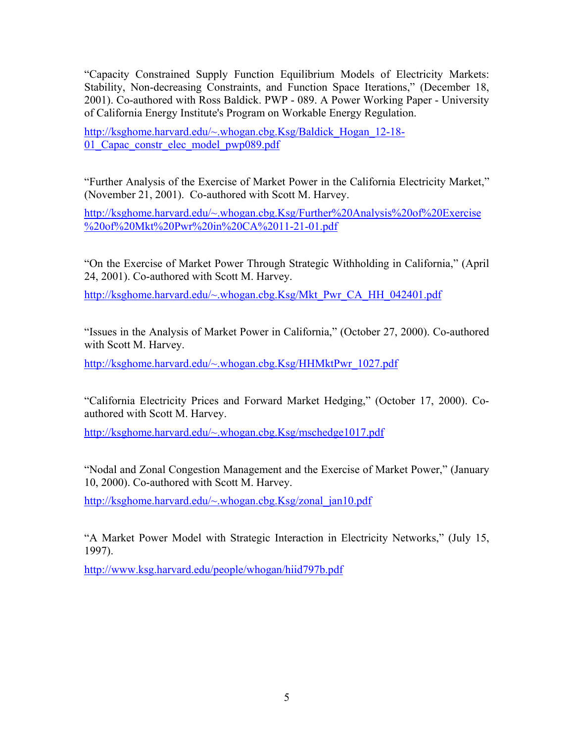"Capacity Constrained Supply Function Equilibrium Models of Electricity Markets: Stability, Non-decreasing Constraints, and Function Space Iterations," (December 18, 2001). Co-authored with Ross Baldick. PWP - 089. A Power Working Paper - University of California Energy Institute's Program on Workable Energy Regulation.

http://ksghome.harvard.edu/~.whogan.cbg.Ksg/Baldick Hogan 12-18-01 Capac constr elec model pwp089.pdf

"Further Analysis of the Exercise of Market Power in the California Electricity Market," (November 21, 2001). Co-authored with Scott M. Harvey.

http://ksghome.harvard.edu/~.whogan.cbg.Ksg/Further%20Analysis%20of%20Exercise %20of%20Mkt%20Pwr%20in%20CA%2011-21-01.pdf

"On the Exercise of Market Power Through Strategic Withholding in California," (April 24, 2001). Co-authored with Scott M. Harvey.

http://ksghome.harvard.edu/~.whogan.cbg.Ksg/Mkt\_Pwr\_CA\_HH\_042401.pdf

"Issues in the Analysis of Market Power in California," (October 27, 2000). Co-authored with Scott M. Harvey.

http://ksghome.harvard.edu/~.whogan.cbg.Ksg/HHMktPwr\_1027.pdf

"California Electricity Prices and Forward Market Hedging," (October 17, 2000). Coauthored with Scott M. Harvey.

http://ksghome.harvard.edu/~.whogan.cbg.Ksg/mschedge1017.pdf

"Nodal and Zonal Congestion Management and the Exercise of Market Power," (January 10, 2000). Co-authored with Scott M. Harvey.

http://ksghome.harvard.edu/~.whogan.cbg.Ksg/zonal\_jan10.pdf

"A Market Power Model with Strategic Interaction in Electricity Networks," (July 15, 1997).

http://www.ksg.harvard.edu/people/whogan/hiid797b.pdf